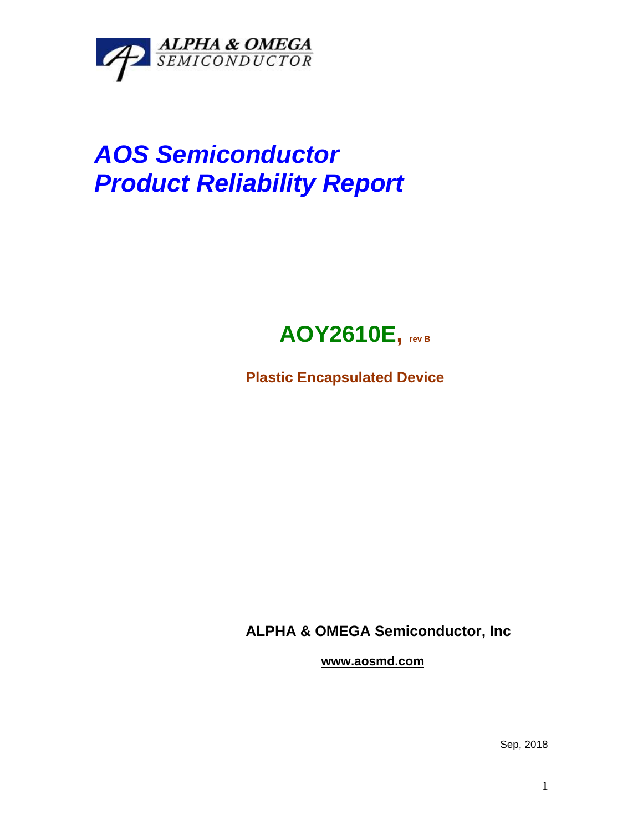

## *AOS Semiconductor Product Reliability Report*



**Plastic Encapsulated Device**

**ALPHA & OMEGA Semiconductor, Inc**

**www.aosmd.com**

Sep, 2018